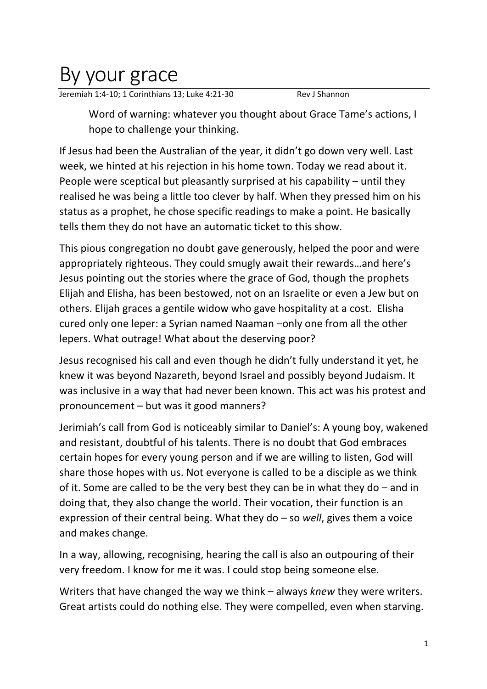## By your grace

Jeremiah 1:4-10; 1 Corinthians 13; Luke 4:21-30 Rev J Shannon

Word of warning: whatever you thought about Grace Tame's actions, I hope to challenge your thinking.

If Jesus had been the Australian of the year, it didn't go down very well. Last week, we hinted at his rejection in his home town. Today we read about it. People were sceptical but pleasantly surprised at his capability – until they realised he was being a little too clever by half. When they pressed him on his status as a prophet, he chose specific readings to make a point. He basically tells them they do not have an automatic ticket to this show.

This pious congregation no doubt gave generously, helped the poor and were appropriately righteous. They could smugly await their rewards…and here's Jesus pointing out the stories where the grace of God, though the prophets Elijah and Elisha, has been bestowed, not on an Israelite or even a Jew but on others. Elijah graces a gentile widow who gave hospitality at a cost. Elisha cured only one leper: a Syrian named Naaman –only one from all the other lepers. What outrage! What about the deserving poor?

Jesus recognised his call and even though he didn't fully understand it yet, he knew it was beyond Nazareth, beyond Israel and possibly beyond Judaism. It was inclusive in a way that had never been known. This act was his protest and pronouncement – but was it good manners?

Jerimiah's call from God is noticeably similar to Daniel's: A young boy, wakened and resistant, doubtful of his talents. There is no doubt that God embraces certain hopes for every young person and if we are willing to listen, God will share those hopes with us. Not everyone is called to be a disciple as we think of it. Some are called to be the very best they can be in what they do – and in doing that, they also change the world. Their vocation, their function is an expression of their central being. What they do – so *well*, gives them a voice and makes change.

In a way, allowing, recognising, hearing the call is also an outpouring of their very freedom. I know for me it was. I could stop being someone else.

Writers that have changed the way we think – always *knew* they were writers. Great artists could do nothing else. They were compelled, even when starving.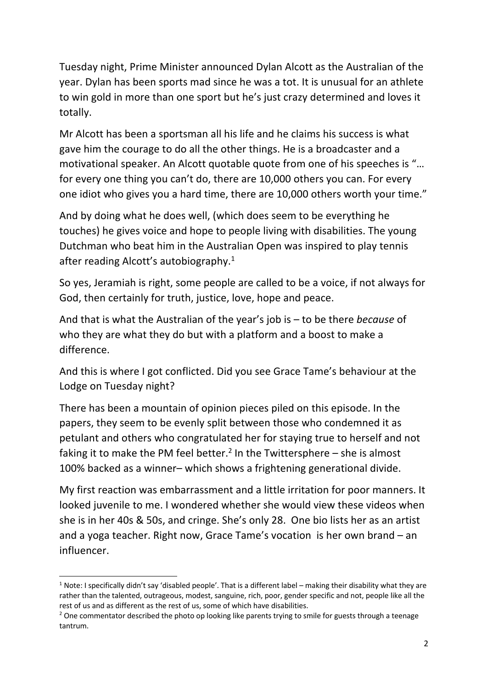Tuesday night, Prime Minister announced Dylan Alcott as the Australian of the year. Dylan has been sports mad since he was a tot. It is unusual for an athlete to win gold in more than one sport but he's just crazy determined and loves it totally.

Mr Alcott has been a sportsman all his life and he claims his success is what gave him the courage to do all the other things. He is a broadcaster and a motivational speaker. An Alcott quotable quote from one of his speeches is "… for every one thing you can't do, there are 10,000 others you can. For every one idiot who gives you a hard time, there are 10,000 others worth your time."

And by doing what he does well, (which does seem to be everything he touches) he gives voice and hope to people living with disabilities. The young Dutchman who beat him in the Australian Open was inspired to play tennis after reading Alcott's autobiography.<sup>1</sup>

So yes, Jeramiah is right, some people are called to be a voice, if not always for God, then certainly for truth, justice, love, hope and peace.

And that is what the Australian of the year's job is – to be there *because* of who they are what they do but with a platform and a boost to make a difference.

And this is where I got conflicted. Did you see Grace Tame's behaviour at the Lodge on Tuesday night?

There has been a mountain of opinion pieces piled on this episode. In the papers, they seem to be evenly split between those who condemned it as petulant and others who congratulated her for staying true to herself and not faking it to make the PM feel better.<sup>2</sup> In the Twittersphere – she is almost 100% backed as a winner– which shows a frightening generational divide.

My first reaction was embarrassment and a little irritation for poor manners. It looked juvenile to me. I wondered whether she would view these videos when she is in her 40s & 50s, and cringe. She's only 28. One bio lists her as an artist and a yoga teacher. Right now, Grace Tame's vocation is her own brand – an influencer.

<sup>&</sup>lt;sup>1</sup> Note: I specifically didn't say 'disabled people'. That is a different label – making their disability what they are rather than the talented, outrageous, modest, sanguine, rich, poor, gender specific and not, people like all the rest of us and as different as the rest of us, some of which have disabilities.<br><sup>2</sup> One commentator described the photo op looking like parents trying to smile for guests through a teenage

tantrum.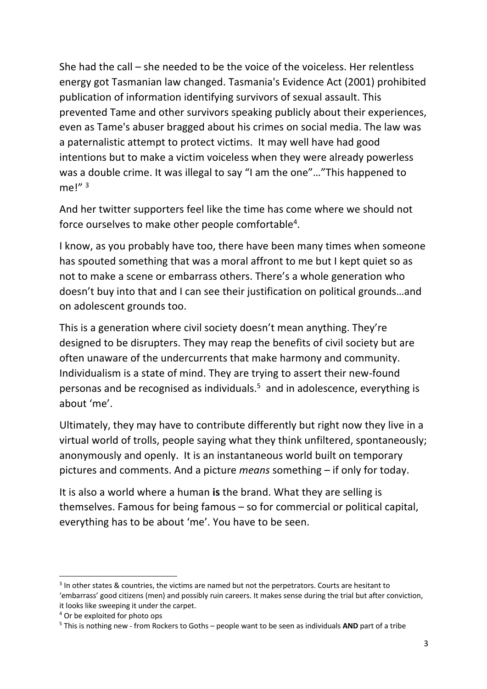She had the call – she needed to be the voice of the voiceless. Her relentless energy got Tasmanian law changed. Tasmania's Evidence Act (2001) prohibited publication of information identifying survivors of sexual assault. This prevented Tame and other survivors speaking publicly about their experiences, even as Tame's abuser bragged about his crimes on social media. The law was a paternalistic attempt to protect victims. It may well have had good intentions but to make a victim voiceless when they were already powerless was a double crime. It was illegal to say "I am the one"..."This happened to me!" 3

And her twitter supporters feel like the time has come where we should not force ourselves to make other people comfortable<sup>4</sup>.

I know, as you probably have too, there have been many times when someone has spouted something that was a moral affront to me but I kept quiet so as not to make a scene or embarrass others. There's a whole generation who doesn't buy into that and I can see their justification on political grounds…and on adolescent grounds too.

This is a generation where civil society doesn't mean anything. They're designed to be disrupters. They may reap the benefits of civil society but are often unaware of the undercurrents that make harmony and community. Individualism is a state of mind. They are trying to assert their new-found personas and be recognised as individuals.<sup>5</sup> and in adolescence, everything is about 'me'.

Ultimately, they may have to contribute differently but right now they live in a virtual world of trolls, people saying what they think unfiltered, spontaneously; anonymously and openly. It is an instantaneous world built on temporary pictures and comments. And a picture *means* something – if only for today.

It is also a world where a human **is** the brand. What they are selling is themselves. Famous for being famous – so for commercial or political capital, everything has to be about 'me'. You have to be seen.

 $3$  In other states & countries, the victims are named but not the perpetrators. Courts are hesitant to 'embarrass' good citizens (men) and possibly ruin careers. It makes sense during the trial but after conviction, it looks like sweeping it under the carpet.

<sup>4</sup> Or be exploited for photo ops

<sup>5</sup> This is nothing new - from Rockers to Goths – people want to be seen as individuals **AND** part of a tribe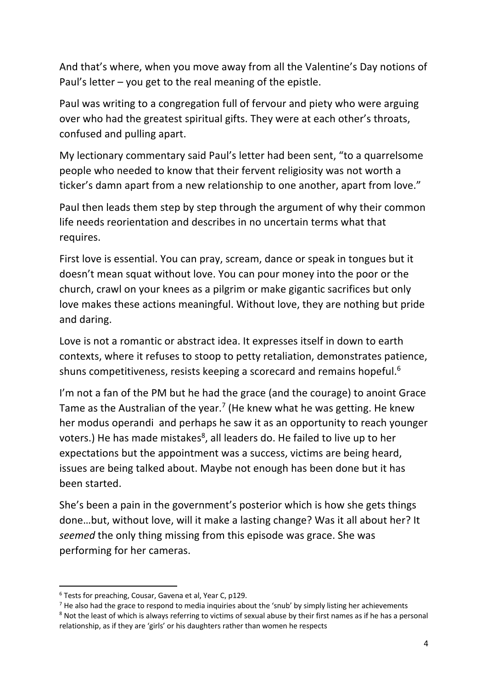And that's where, when you move away from all the Valentine's Day notions of Paul's letter – you get to the real meaning of the epistle.

Paul was writing to a congregation full of fervour and piety who were arguing over who had the greatest spiritual gifts. They were at each other's throats, confused and pulling apart.

My lectionary commentary said Paul's letter had been sent, "to a quarrelsome people who needed to know that their fervent religiosity was not worth a ticker's damn apart from a new relationship to one another, apart from love."

Paul then leads them step by step through the argument of why their common life needs reorientation and describes in no uncertain terms what that requires.

First love is essential. You can pray, scream, dance or speak in tongues but it doesn't mean squat without love. You can pour money into the poor or the church, crawl on your knees as a pilgrim or make gigantic sacrifices but only love makes these actions meaningful. Without love, they are nothing but pride and daring.

Love is not a romantic or abstract idea. It expresses itself in down to earth contexts, where it refuses to stoop to petty retaliation, demonstrates patience, shuns competitiveness, resists keeping a scorecard and remains hopeful.<sup>6</sup>

I'm not a fan of the PM but he had the grace (and the courage) to anoint Grace Tame as the Australian of the year.<sup>7</sup> (He knew what he was getting. He knew her modus operandi and perhaps he saw it as an opportunity to reach younger voters.) He has made mistakes<sup>8</sup>, all leaders do. He failed to live up to her expectations but the appointment was a success, victims are being heard, issues are being talked about. Maybe not enough has been done but it has been started.

She's been a pain in the government's posterior which is how she gets things done…but, without love, will it make a lasting change? Was it all about her? It *seemed* the only thing missing from this episode was grace. She was performing for her cameras.

<sup>6</sup> Tests for preaching, Cousar, Gavena et al, Year C, p129.

 $<sup>7</sup>$  He also had the grace to respond to media inquiries about the 'snub' by simply listing her achievements</sup> <sup>8</sup> Not the least of which is always referring to victims of sexual abuse by their first names as if he has a personal

relationship, as if they are 'girls' or his daughters rather than women he respects